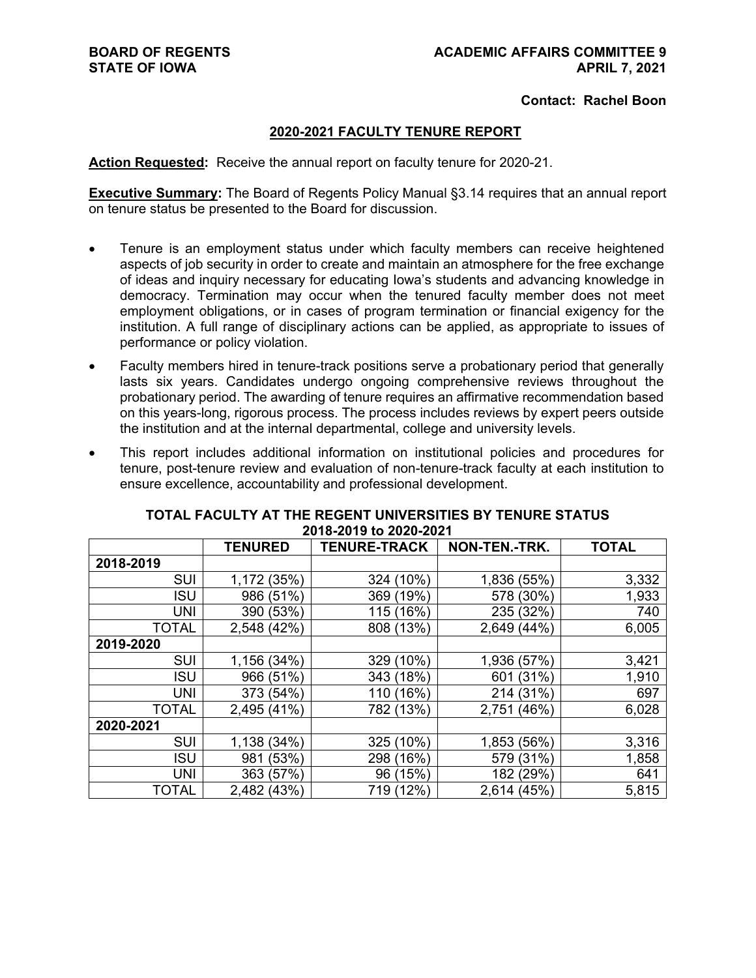### **Contact: Rachel Boon**

# **2020-2021 FACULTY TENURE REPORT**

**Action Requested:** Receive the annual report on faculty tenure for 2020-21.

**Executive Summary:** The Board of Regents Policy Manual §3.14 requires that an annual report on tenure status be presented to the Board for discussion.

- Tenure is an employment status under which faculty members can receive heightened aspects of job security in order to create and maintain an atmosphere for the free exchange of ideas and inquiry necessary for educating Iowa's students and advancing knowledge in democracy. Termination may occur when the tenured faculty member does not meet employment obligations, or in cases of program termination or financial exigency for the institution. A full range of disciplinary actions can be applied, as appropriate to issues of performance or policy violation.
- Faculty members hired in tenure-track positions serve a probationary period that generally lasts six years. Candidates undergo ongoing comprehensive reviews throughout the probationary period. The awarding of tenure requires an affirmative recommendation based on this years-long, rigorous process. The process includes reviews by expert peers outside the institution and at the internal departmental, college and university levels.
- This report includes additional information on institutional policies and procedures for tenure, post-tenure review and evaluation of non-tenure-track faculty at each institution to ensure excellence, accountability and professional development.

|              | <b>TENURED</b> | <b>TENURE-TRACK</b> | NON-TEN.-TRK.  | <b>TOTAL</b> |
|--------------|----------------|---------------------|----------------|--------------|
| 2018-2019    |                |                     |                |              |
| <b>SUI</b>   | 1,172 (35%)    | 324 (10%)           | 1,836 (55%)    | 3,332        |
| <b>ISU</b>   | 986 (51%)      | 369 (19%)           | 578 (30%)      | 1,933        |
| <b>UNI</b>   | 390 (53%)      | 115 (16%)           | 235 (32%)      | 740          |
| <b>TOTAL</b> | 2,548 (42%)    | 808 (13%)           | 2,649 (44%)    | 6,005        |
| 2019-2020    |                |                     |                |              |
| SUI          | 1,156 (34%)    | 329 (10%)           | 1,936<br>(57%) | 3,421        |
| <b>ISU</b>   | 966 (51%)      | 343 (18%)           | (31%)<br>601   | 1,910        |
| <b>UNI</b>   | 373 (54%)      | 110 (16%)           | 214 (31%)      | 697          |
| <b>TOTAL</b> | 2,495 (41%)    | 782 (13%)           | 2,751 (46%)    | 6,028        |
| 2020-2021    |                |                     |                |              |
| <b>SUI</b>   | 1,138 (34%)    | 325 (10%)           | 1,853 (56%)    | 3,316        |
| <b>ISU</b>   | (53%)<br>981   | 298 (16%)           | (31%)<br>579   | 1,858        |
| UNI          | 363 (57%)      | 96 (15%)            | 182 (29%)      | 641          |
| <b>TOTAL</b> | 2,482 (43%)    | 719 (12%)           | 2,614 (45%)    | 5,815        |

# **TOTAL FACULTY AT THE REGENT UNIVERSITIES BY TENURE STATUS 2018-2019 to 2020-2021**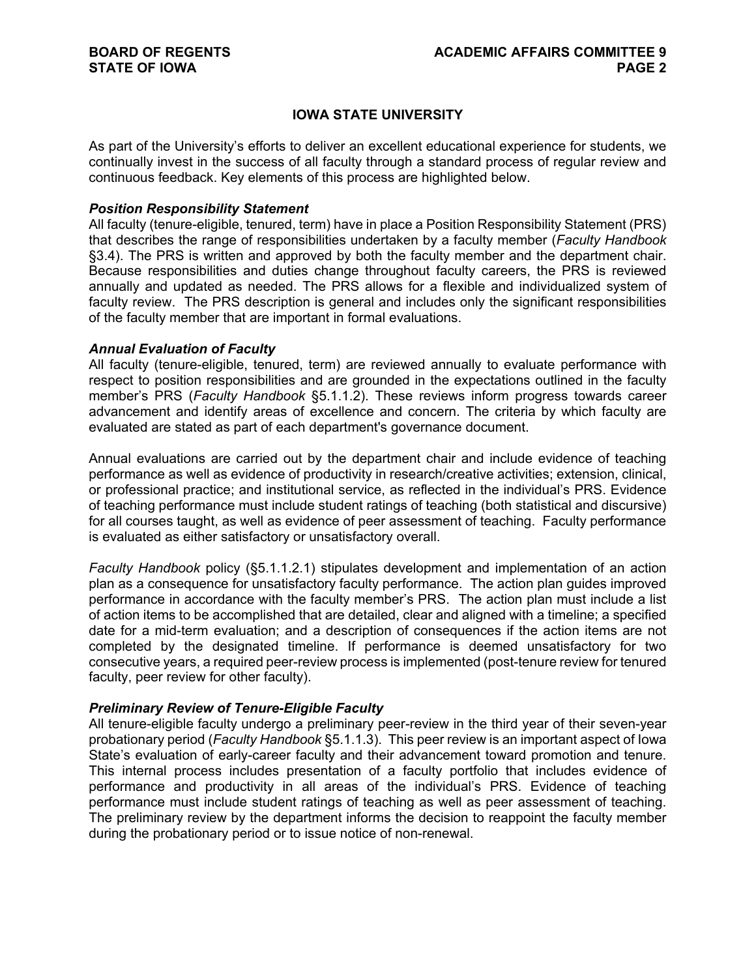# **IOWA STATE UNIVERSITY**

As part of the University's efforts to deliver an excellent educational experience for students, we continually invest in the success of all faculty through a standard process of regular review and continuous feedback. Key elements of this process are highlighted below.

#### *Position Responsibility Statement*

All faculty (tenure-eligible, tenured, term) have in place a Position Responsibility Statement (PRS) that describes the range of responsibilities undertaken by a faculty member (*Faculty Handbook* §3.4). The PRS is written and approved by both the faculty member and the department chair. Because responsibilities and duties change throughout faculty careers, the PRS is reviewed annually and updated as needed. The PRS allows for a flexible and individualized system of faculty review. The PRS description is general and includes only the significant responsibilities of the faculty member that are important in formal evaluations.

#### *Annual Evaluation of Faculty*

All faculty (tenure-eligible, tenured, term) are reviewed annually to evaluate performance with respect to position responsibilities and are grounded in the expectations outlined in the faculty member's PRS (*Faculty Handbook* §5.1.1.2). These reviews inform progress towards career advancement and identify areas of excellence and concern. The criteria by which faculty are evaluated are stated as part of each department's governance document.

Annual evaluations are carried out by the department chair and include evidence of teaching performance as well as evidence of productivity in research/creative activities; extension, clinical, or professional practice; and institutional service, as reflected in the individual's PRS. Evidence of teaching performance must include student ratings of teaching (both statistical and discursive) for all courses taught, as well as evidence of peer assessment of teaching. Faculty performance is evaluated as either satisfactory or unsatisfactory overall.

*Faculty Handbook* policy (§5.1.1.2.1) stipulates development and implementation of an action plan as a consequence for unsatisfactory faculty performance. The action plan guides improved performance in accordance with the faculty member's PRS. The action plan must include a list of action items to be accomplished that are detailed, clear and aligned with a timeline; a specified date for a mid-term evaluation; and a description of consequences if the action items are not completed by the designated timeline. If performance is deemed unsatisfactory for two consecutive years, a required peer-review process is implemented (post-tenure review for tenured faculty, peer review for other faculty).

#### *Preliminary Review of Tenure-Eligible Faculty*

All tenure-eligible faculty undergo a preliminary peer-review in the third year of their seven-year probationary period (*Faculty Handbook* §5.1.1.3). This peer review is an important aspect of Iowa State's evaluation of early-career faculty and their advancement toward promotion and tenure. This internal process includes presentation of a faculty portfolio that includes evidence of performance and productivity in all areas of the individual's PRS. Evidence of teaching performance must include student ratings of teaching as well as peer assessment of teaching. The preliminary review by the department informs the decision to reappoint the faculty member during the probationary period or to issue notice of non-renewal.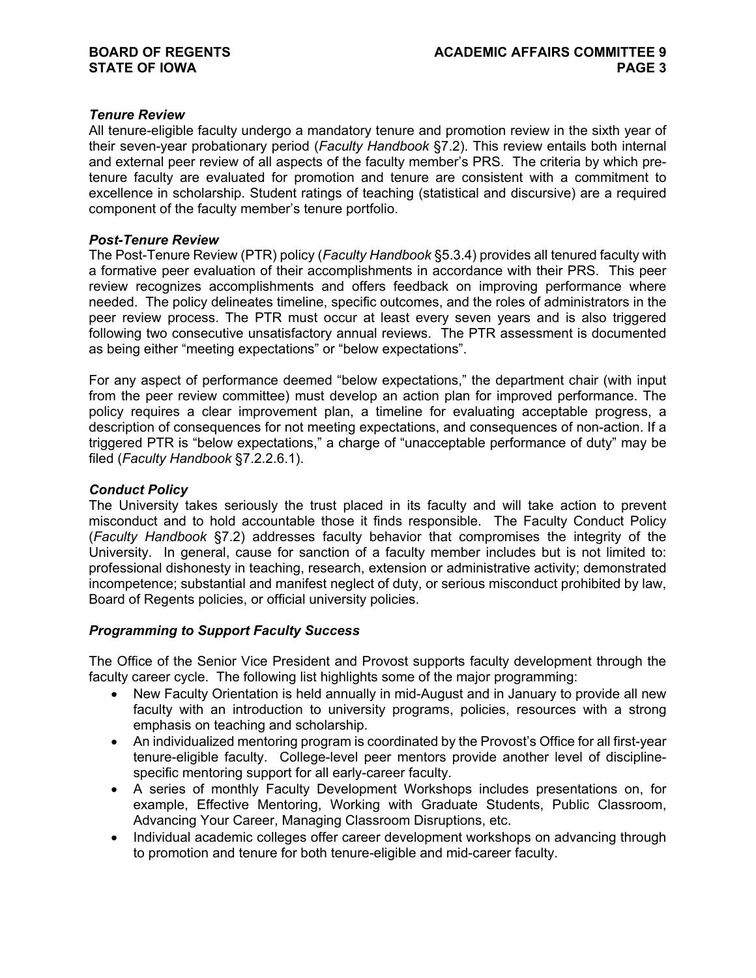# *Tenure Review*

All tenure-eligible faculty undergo a mandatory tenure and promotion review in the sixth year of their seven-year probationary period (*Faculty Handbook* §7.2). This review entails both internal and external peer review of all aspects of the faculty member's PRS. The criteria by which pretenure faculty are evaluated for promotion and tenure are consistent with a commitment to excellence in scholarship. Student ratings of teaching (statistical and discursive) are a required component of the faculty member's tenure portfolio.

#### *Post-Tenure Review*

The Post-Tenure Review (PTR) policy (*Faculty Handbook* §5.3.4) provides all tenured faculty with a formative peer evaluation of their accomplishments in accordance with their PRS. This peer review recognizes accomplishments and offers feedback on improving performance where needed. The policy delineates timeline, specific outcomes, and the roles of administrators in the peer review process. The PTR must occur at least every seven years and is also triggered following two consecutive unsatisfactory annual reviews. The PTR assessment is documented as being either "meeting expectations" or "below expectations".

For any aspect of performance deemed "below expectations," the department chair (with input from the peer review committee) must develop an action plan for improved performance. The policy requires a clear improvement plan, a timeline for evaluating acceptable progress, a description of consequences for not meeting expectations, and consequences of non-action. If a triggered PTR is "below expectations," a charge of "unacceptable performance of duty" may be filed (*Faculty Handbook* §7.2.2.6.1).

#### *Conduct Policy*

The University takes seriously the trust placed in its faculty and will take action to prevent misconduct and to hold accountable those it finds responsible. The Faculty Conduct Policy (*Faculty Handbook* §7.2) addresses faculty behavior that compromises the integrity of the University. In general, cause for sanction of a faculty member includes but is not limited to: professional dishonesty in teaching, research, extension or administrative activity; demonstrated incompetence; substantial and manifest neglect of duty, or serious misconduct prohibited by law, Board of Regents policies, or official university policies.

#### *Programming to Support Faculty Success*

The Office of the Senior Vice President and Provost supports faculty development through the faculty career cycle. The following list highlights some of the major programming:

- New Faculty Orientation is held annually in mid-August and in January to provide all new faculty with an introduction to university programs, policies, resources with a strong emphasis on teaching and scholarship.
- An individualized mentoring program is coordinated by the Provost's Office for all first-year tenure-eligible faculty. College-level peer mentors provide another level of disciplinespecific mentoring support for all early-career faculty.
- A series of monthly Faculty Development Workshops includes presentations on, for example, Effective Mentoring, Working with Graduate Students, Public Classroom, Advancing Your Career, Managing Classroom Disruptions, etc.
- Individual academic colleges offer career development workshops on advancing through to promotion and tenure for both tenure-eligible and mid-career faculty.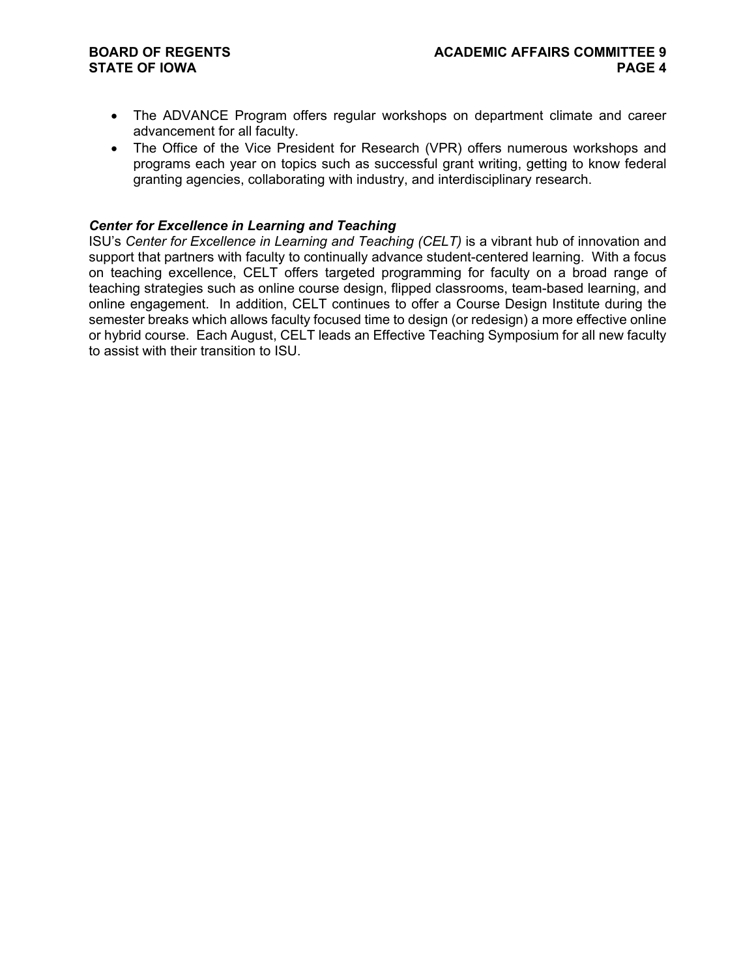# **STATE OF IOWA**

- The ADVANCE Program offers regular workshops on department climate and career advancement for all faculty.
- The Office of the Vice President for Research (VPR) offers numerous workshops and programs each year on topics such as successful grant writing, getting to know federal granting agencies, collaborating with industry, and interdisciplinary research.

# *Center for Excellence in Learning and Teaching*

ISU's *Center for Excellence in Learning and Teaching (CELT)* is a vibrant hub of innovation and support that partners with faculty to continually advance student-centered learning. With a focus on teaching excellence, CELT offers targeted programming for faculty on a broad range of teaching strategies such as online course design, flipped classrooms, team-based learning, and online engagement. In addition, CELT continues to offer a Course Design Institute during the semester breaks which allows faculty focused time to design (or redesign) a more effective online or hybrid course. Each August, CELT leads an Effective Teaching Symposium for all new faculty to assist with their transition to ISU.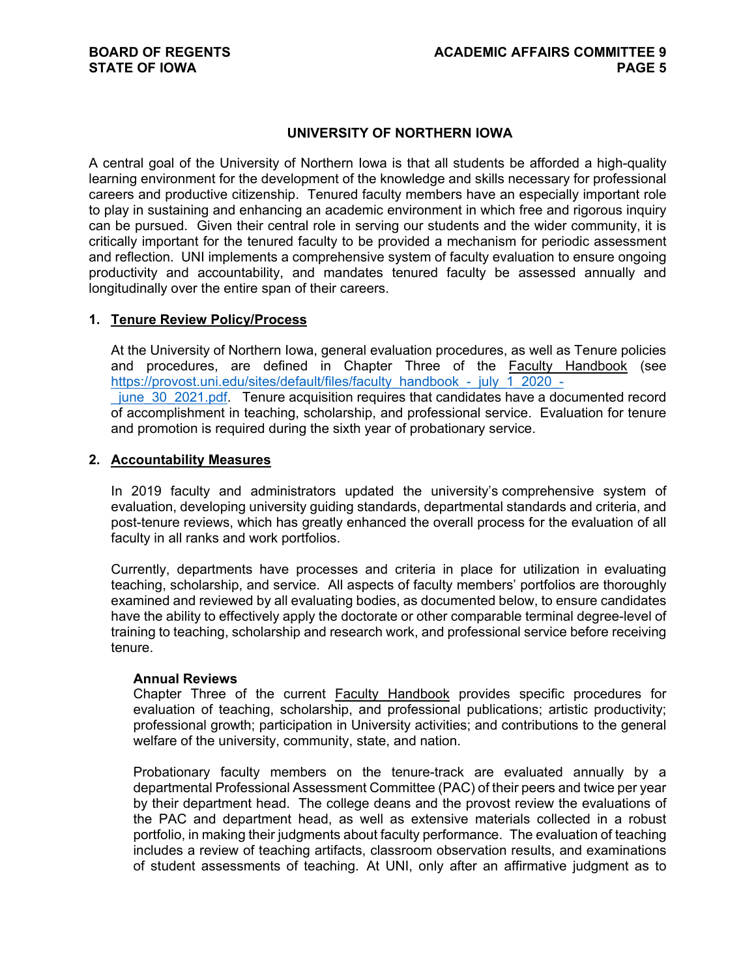### **UNIVERSITY OF NORTHERN IOWA**

A central goal of the University of Northern Iowa is that all students be afforded a high-quality learning environment for the development of the knowledge and skills necessary for professional careers and productive citizenship. Tenured faculty members have an especially important role to play in sustaining and enhancing an academic environment in which free and rigorous inquiry can be pursued. Given their central role in serving our students and the wider community, it is critically important for the tenured faculty to be provided a mechanism for periodic assessment and reflection. UNI implements a comprehensive system of faculty evaluation to ensure ongoing productivity and accountability, and mandates tenured faculty be assessed annually and longitudinally over the entire span of their careers.

#### **1. Tenure Review Policy/Process**

At the University of Northern Iowa, general evaluation procedures, as well as Tenure policies and procedures, are defined in Chapter Three of the Faculty Handbook (see [https://provost.uni.edu/sites/default/files/faculty\\_handbook\\_-\\_july\\_1\\_2020\\_-](https://provost.uni.edu/sites/default/files/faculty_handbook_-_july_1_2020_-_june_30_2021.pdf) [\\_june\\_30\\_2021.pdf.](https://provost.uni.edu/sites/default/files/faculty_handbook_-_july_1_2020_-_june_30_2021.pdf) Tenure acquisition requires that candidates have a documented record of accomplishment in teaching, scholarship, and professional service. Evaluation for tenure and promotion is required during the sixth year of probationary service.

#### **2. Accountability Measures**

In 2019 faculty and administrators updated the university's comprehensive system of evaluation, developing university guiding standards, departmental standards and criteria, and post-tenure reviews, which has greatly enhanced the overall process for the evaluation of all faculty in all ranks and work portfolios.

Currently, departments have processes and criteria in place for utilization in evaluating teaching, scholarship, and service. All aspects of faculty members' portfolios are thoroughly examined and reviewed by all evaluating bodies, as documented below, to ensure candidates have the ability to effectively apply the doctorate or other comparable terminal degree-level of training to teaching, scholarship and research work, and professional service before receiving tenure.

#### **Annual Reviews**

Chapter Three of the current Faculty Handbook provides specific procedures for evaluation of teaching, scholarship, and professional publications; artistic productivity; professional growth; participation in University activities; and contributions to the general welfare of the university, community, state, and nation.

Probationary faculty members on the tenure-track are evaluated annually by a departmental Professional Assessment Committee (PAC) of their peers and twice per year by their department head. The college deans and the provost review the evaluations of the PAC and department head, as well as extensive materials collected in a robust portfolio, in making their judgments about faculty performance. The evaluation of teaching includes a review of teaching artifacts, classroom observation results, and examinations of student assessments of teaching. At UNI, only after an affirmative judgment as to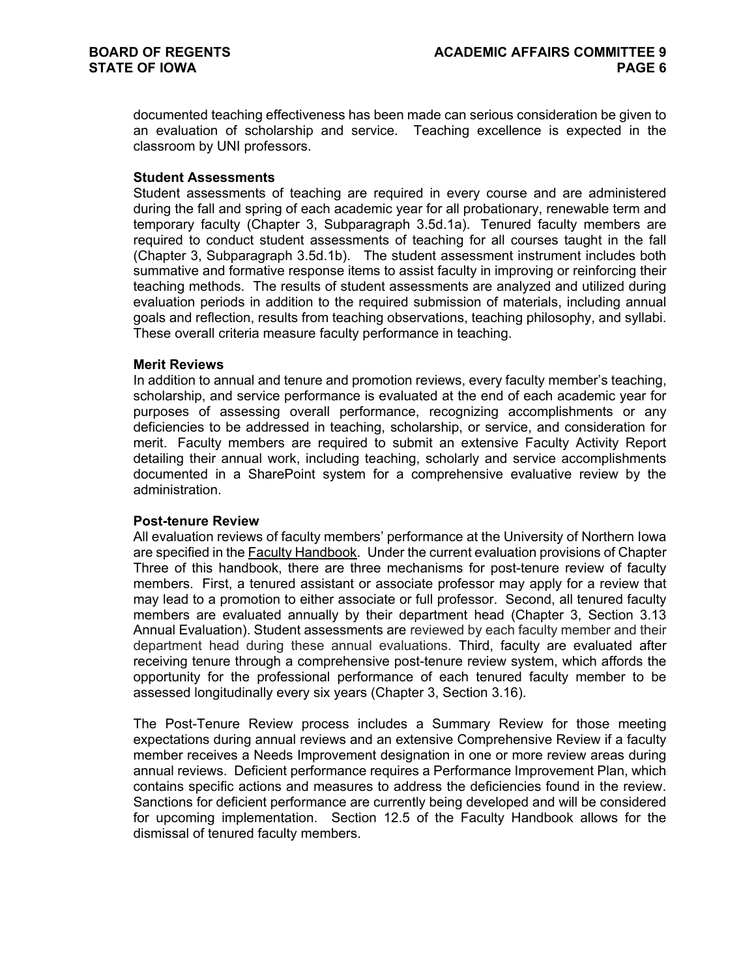documented teaching effectiveness has been made can serious consideration be given to an evaluation of scholarship and service. Teaching excellence is expected in the classroom by UNI professors.

#### **Student Assessments**

Student assessments of teaching are required in every course and are administered during the fall and spring of each academic year for all probationary, renewable term and temporary faculty (Chapter 3, Subparagraph 3.5d.1a). Tenured faculty members are required to conduct student assessments of teaching for all courses taught in the fall (Chapter 3, Subparagraph 3.5d.1b). The student assessment instrument includes both summative and formative response items to assist faculty in improving or reinforcing their teaching methods. The results of student assessments are analyzed and utilized during evaluation periods in addition to the required submission of materials, including annual goals and reflection, results from teaching observations, teaching philosophy, and syllabi. These overall criteria measure faculty performance in teaching.

#### **Merit Reviews**

In addition to annual and tenure and promotion reviews, every faculty member's teaching, scholarship, and service performance is evaluated at the end of each academic year for purposes of assessing overall performance, recognizing accomplishments or any deficiencies to be addressed in teaching, scholarship, or service, and consideration for merit. Faculty members are required to submit an extensive Faculty Activity Report detailing their annual work, including teaching, scholarly and service accomplishments documented in a SharePoint system for a comprehensive evaluative review by the administration.

#### **Post-tenure Review**

All evaluation reviews of faculty members' performance at the University of Northern Iowa are specified in the Faculty Handbook. Under the current evaluation provisions of Chapter Three of this handbook, there are three mechanisms for post-tenure review of faculty members. First, a tenured assistant or associate professor may apply for a review that may lead to a promotion to either associate or full professor. Second, all tenured faculty members are evaluated annually by their department head (Chapter 3, Section 3.13 Annual Evaluation). Student assessments are reviewed by each faculty member and their department head during these annual evaluations. Third, faculty are evaluated after receiving tenure through a comprehensive post-tenure review system, which affords the opportunity for the professional performance of each tenured faculty member to be assessed longitudinally every six years (Chapter 3, Section 3.16).

The Post-Tenure Review process includes a Summary Review for those meeting expectations during annual reviews and an extensive Comprehensive Review if a faculty member receives a Needs Improvement designation in one or more review areas during annual reviews. Deficient performance requires a Performance Improvement Plan, which contains specific actions and measures to address the deficiencies found in the review. Sanctions for deficient performance are currently being developed and will be considered for upcoming implementation. Section 12.5 of the Faculty Handbook allows for the dismissal of tenured faculty members.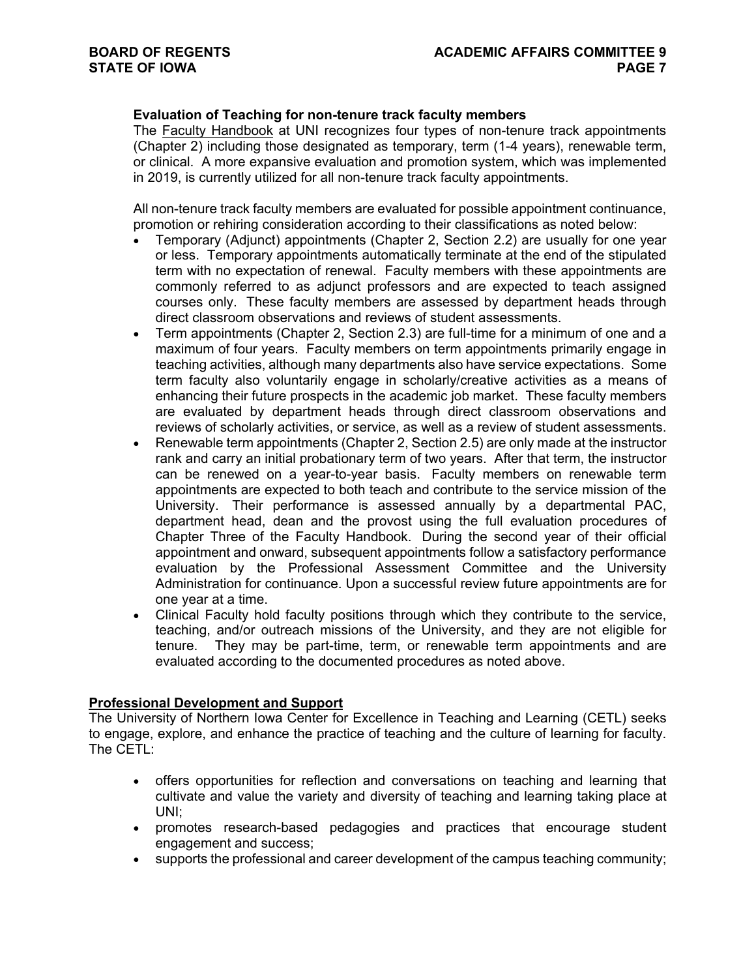# **Evaluation of Teaching for non-tenure track faculty members**

The Faculty Handbook at UNI recognizes four types of non-tenure track appointments (Chapter 2) including those designated as temporary, term (1-4 years), renewable term, or clinical. A more expansive evaluation and promotion system, which was implemented in 2019, is currently utilized for all non-tenure track faculty appointments.

All non-tenure track faculty members are evaluated for possible appointment continuance, promotion or rehiring consideration according to their classifications as noted below:

- Temporary (Adjunct) appointments (Chapter 2, Section 2.2) are usually for one year or less. Temporary appointments automatically terminate at the end of the stipulated term with no expectation of renewal. Faculty members with these appointments are commonly referred to as adjunct professors and are expected to teach assigned courses only. These faculty members are assessed by department heads through direct classroom observations and reviews of student assessments.
- Term appointments (Chapter 2, Section 2.3) are full-time for a minimum of one and a maximum of four years. Faculty members on term appointments primarily engage in teaching activities, although many departments also have service expectations. Some term faculty also voluntarily engage in scholarly/creative activities as a means of enhancing their future prospects in the academic job market. These faculty members are evaluated by department heads through direct classroom observations and reviews of scholarly activities, or service, as well as a review of student assessments.
- Renewable term appointments (Chapter 2, Section 2.5) are only made at the instructor rank and carry an initial probationary term of two years. After that term, the instructor can be renewed on a year-to-year basis. Faculty members on renewable term appointments are expected to both teach and contribute to the service mission of the University. Their performance is assessed annually by a departmental PAC, department head, dean and the provost using the full evaluation procedures of Chapter Three of the Faculty Handbook. During the second year of their official appointment and onward, subsequent appointments follow a satisfactory performance evaluation by the Professional Assessment Committee and the University Administration for continuance. Upon a successful review future appointments are for one year at a time.
- Clinical Faculty hold faculty positions through which they contribute to the service, teaching, and/or outreach missions of the University, and they are not eligible for tenure. They may be part-time, term, or renewable term appointments and are evaluated according to the documented procedures as noted above.

#### **Professional Development and Support**

The University of Northern Iowa Center for Excellence in Teaching and Learning (CETL) seeks to engage, explore, and enhance the practice of teaching and the culture of learning for faculty. The CETL:

- offers opportunities for reflection and conversations on teaching and learning that cultivate and value the variety and diversity of teaching and learning taking place at UNI;
- promotes research-based pedagogies and practices that encourage student engagement and success;
- supports the professional and career development of the campus teaching community;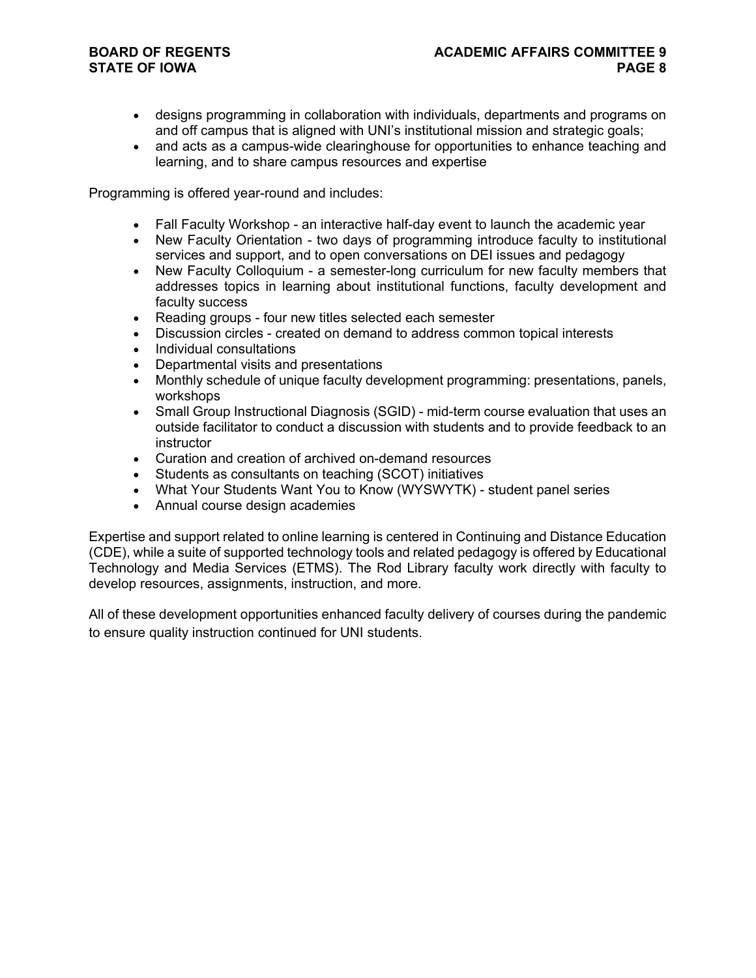# **STATE OF IOWA**

- designs programming in collaboration with individuals, departments and programs on and off campus that is aligned with UNI's institutional mission and strategic goals;
- and acts as a campus-wide clearinghouse for opportunities to enhance teaching and learning, and to share campus resources and expertise

Programming is offered year-round and includes:

- Fall Faculty Workshop an interactive half-day event to launch the academic year
- New Faculty Orientation two days of programming introduce faculty to institutional services and support, and to open conversations on DEI issues and pedagogy
- New Faculty Colloquium a semester-long curriculum for new faculty members that addresses topics in learning about institutional functions, faculty development and faculty success
- Reading groups four new titles selected each semester
- Discussion circles created on demand to address common topical interests
- Individual consultations
- Departmental visits and presentations
- Monthly schedule of unique faculty development programming: presentations, panels, workshops
- Small Group Instructional Diagnosis (SGID) mid-term course evaluation that uses an outside facilitator to conduct a discussion with students and to provide feedback to an instructor
- Curation and creation of archived on-demand resources
- Students as consultants on teaching (SCOT) initiatives
- What Your Students Want You to Know (WYSWYTK) student panel series
- Annual course design academies

Expertise and support related to online learning is centered in Continuing and Distance Education (CDE), while a suite of supported technology tools and related pedagogy is offered by Educational Technology and Media Services (ETMS). The Rod Library faculty work directly with faculty to develop resources, assignments, instruction, and more.

All of these development opportunities enhanced faculty delivery of courses during the pandemic to ensure quality instruction continued for UNI students.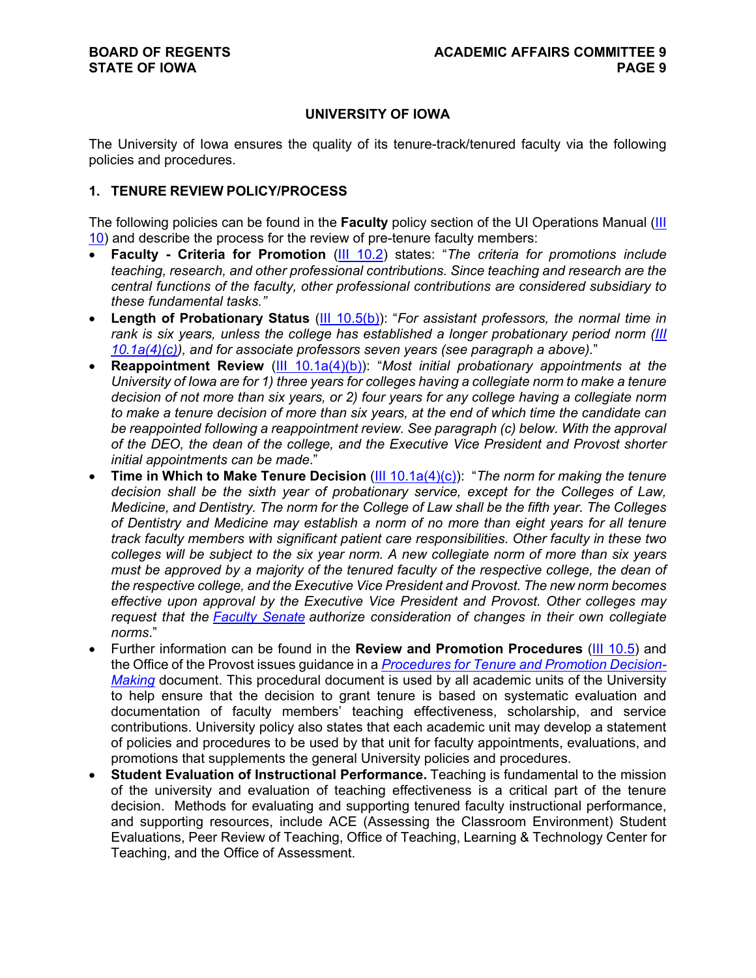# **UNIVERSITY OF IOWA**

The University of Iowa ensures the quality of its tenure-track/tenured faculty via the following policies and procedures.

# **1. TENURE REVIEW POLICY/PROCESS**

The following policies can be found in the **Faculty** policy section of the UI Operations Manual [\(III](https://opsmanual.uiowa.edu/human-resources/faculty)  [10\)](https://opsmanual.uiowa.edu/human-resources/faculty) and describe the process for the review of pre-tenure faculty members:

- **Faculty - Criteria for Promotion** [\(III 10.2\)](https://opsmanual.uiowa.edu/human-resources/faculty#10.2) states: "*The criteria for promotions include teaching, research, and other professional contributions. Since teaching and research are the central functions of the faculty, other professional contributions are considered subsidiary to these fundamental tasks."*
- **Length of Probationary Status** [\(III 10.5\(b\)\)](https://opsmanual.uiowa.edu/human-resources/faculty/review-and-promotion-procedures): "*For assistant professors, the normal time in rank is six years, unless the college has established a longer probationary period norm [\(III](https://opsmanual.uiowa.edu/human-resources/faculty/tenure-and-non-tenure-appointments)  [10.1a\(4\)\(c\)\)](https://opsmanual.uiowa.edu/human-resources/faculty/tenure-and-non-tenure-appointments), and for associate professors seven years (see paragraph a above).*"
- **Reappointment Review** [\(III 10.1a\(4\)\(b\)\)](https://opsmanual.uiowa.edu/human-resources/faculty/tenure-and-non-tenure-appointments): "Most initial probationary appointments at the *University of Iowa are for 1) three years for colleges having a collegiate norm to make a tenure decision of not more than six years, or 2) four years for any college having a collegiate norm to make a tenure decision of more than six years, at the end of which time the candidate can*  be reappointed following a reappointment review. See paragraph (c) below. With the approval *of the DEO, the dean of the college, and the Executive Vice President and Provost shorter initial appointments can be made*."
- **Time in Which to Make Tenure Decision** [\(III 10.1a\(4\)\(c\)\)](https://opsmanual.uiowa.edu/human-resources/faculty/tenure-and-non-tenure-appointments): "*The norm for making the tenure decision shall be the sixth year of probationary service, except for the Colleges of Law, Medicine, and Dentistry. The norm for the College of Law shall be the fifth year. The Colleges of Dentistry and Medicine may establish a norm of no more than eight years for all tenure track faculty members with significant patient care responsibilities. Other faculty in these two colleges will be subject to the six year norm. A new collegiate norm of more than six years must be approved by a majority of the tenured faculty of the respective college, the dean of the respective college, and the Executive Vice President and Provost. The new norm becomes effective upon approval by the Executive Vice President and Provost. Other colleges may request that the [Faculty Senate](https://uiowa.edu/facultysenate/) authorize consideration of changes in their own collegiate norms*."
- Further information can be found in the **Review and Promotion Procedures** [\(III 10.5\)](https://opsmanual.uiowa.edu/human-resources/faculty#10.5) and the Office of the Provost issues guidance in a *[Procedures for Tenure and Promotion Decision-](https://www.provost.uiowa.edu/sites/provost.uiowa.edu/files/prom_ten_proc_TT.pdf)[Making](https://www.provost.uiowa.edu/sites/provost.uiowa.edu/files/prom_ten_proc_TT.pdf)* document. This procedural document is used by all academic units of the University to help ensure that the decision to grant tenure is based on systematic evaluation and documentation of faculty members' teaching effectiveness, scholarship, and service contributions. University policy also states that each academic unit may develop a statement of policies and procedures to be used by that unit for faculty appointments, evaluations, and promotions that supplements the general University policies and procedures.
- **Student Evaluation of Instructional Performance.** Teaching is fundamental to the mission of the university and evaluation of teaching effectiveness is a critical part of the tenure decision. Methods for evaluating and supporting tenured faculty instructional performance, and supporting resources, include ACE (Assessing the Classroom Environment) Student Evaluations, Peer Review of Teaching, Office of Teaching, Learning & Technology Center for Teaching, and the Office of Assessment.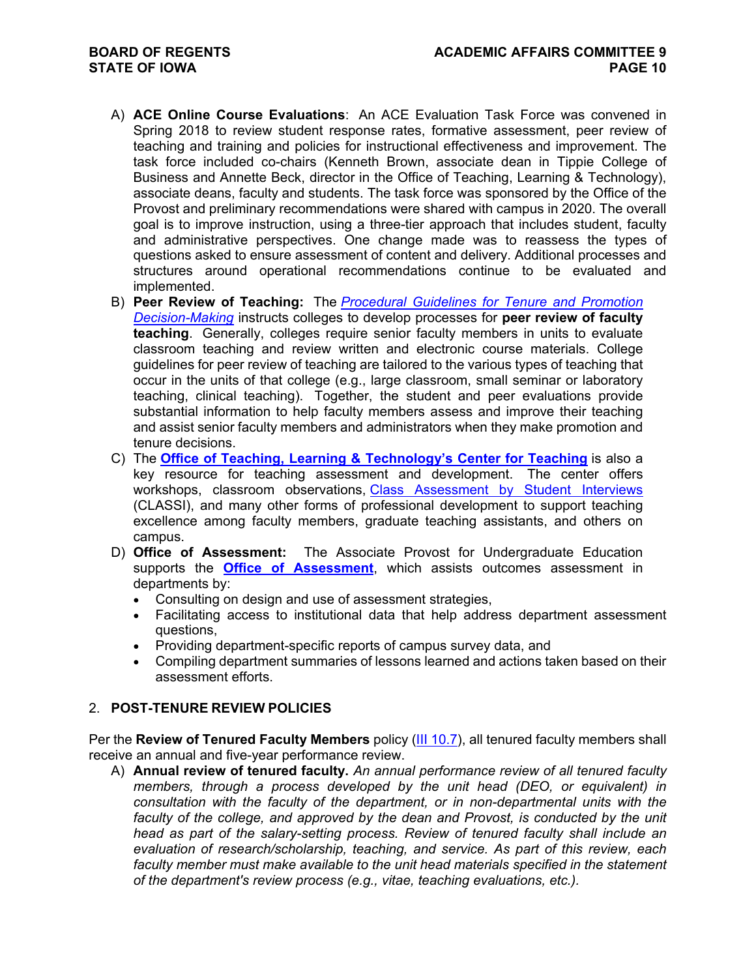- A) **[ACE Online Course Evaluations](https://teach.its.uiowa.edu/technology-tools/ace-online-course-evaluations)**: An ACE Evaluation Task Force was convened in Spring 2018 to review student response rates, formative assessment, peer review of teaching and training and policies for instructional effectiveness and improvement. The task force included co-chairs (Kenneth Brown, associate dean in Tippie College of Business and Annette Beck, director in the Office of Teaching, Learning & Technology), associate deans, faculty and students. The task force was sponsored by the Office of the Provost and preliminary recommendations were shared with campus in 2020. The overall goal is to improve instruction, using a three-tier approach that includes student, faculty and administrative perspectives. One change made was to reassess the types of questions asked to ensure assessment of content and delivery. Additional processes and structures around operational recommendations continue to be evaluated and implemented.
- B) **Peer Review of Teaching:** The *[Procedural Guidelines for Tenure and Promotion](https://www.provost.uiowa.edu/sites/provost.uiowa.edu/files/prom_ten_proc_TT.pdf)  [Decision-Making](https://www.provost.uiowa.edu/sites/provost.uiowa.edu/files/prom_ten_proc_TT.pdf)* instructs colleges to develop processes for **peer review of faculty teaching**. Generally, colleges require senior faculty members in units to evaluate classroom teaching and review written and electronic course materials. College guidelines for peer review of teaching are tailored to the various types of teaching that occur in the units of that college (e.g., large classroom, small seminar or laboratory teaching, clinical teaching). Together, the student and peer evaluations provide substantial information to help faculty members assess and improve their teaching and assist senior faculty members and administrators when they make promotion and tenure decisions.
- C) The **[Office of Teaching, Learning & Technology's Center for Teaching](https://teach.its.uiowa.edu/organizations/center-teaching)** is also a key resource for teaching assessment and development. The center offers workshops, classroom observations, [Class Assessment by Student Interviews](https://teach.its.uiowa.edu/class-assessment-student-interview-classi) (CLASSI), and many other forms of professional development to support teaching excellence among faculty members, graduate teaching assistants, and others on campus.
- D) **Office of Assessment:** The Associate Provost for Undergraduate Education supports the **[Office of Assessment](http://www.uiowa.edu/assessment)**, which assists outcomes assessment in departments by:
	- Consulting on design and use of assessment strategies,
	- Facilitating access to institutional data that help address department assessment questions,
	- Providing department-specific reports of campus survey data, and
	- Compiling department summaries of lessons learned and actions taken based on their assessment efforts.

# 2. **POST-TENURE REVIEW POLICIES**

Per the **Review of Tenured Faculty Members** policy [\(III 10.7\)](https://opsmanual.uiowa.edu/human-resources/faculty#10.7), all tenured faculty members shall receive an annual and five-year performance review.

A) **Annual review of tenured faculty.** *An annual performance review of all tenured faculty members, through a process developed by the unit head (DEO, or equivalent) in consultation with the faculty of the department, or in non-departmental units with the*  faculty of the college, and approved by the dean and Provost, is conducted by the unit *head as part of the salary-setting process. Review of tenured faculty shall include an evaluation of research/scholarship, teaching, and service. As part of this review, each*  faculty member must make available to the unit head materials specified in the statement *of the department's review process (e.g., vitae, teaching evaluations, etc.).*